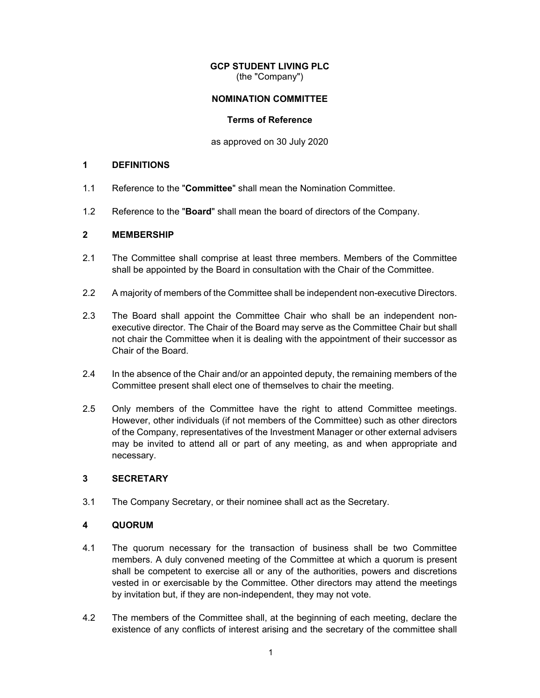# **GCP STUDENT LIVING PLC**

(the "Company")

# **NOMINATION COMMITTEE**

#### **Terms of Reference**

as approved on 30 July 2020

#### **1 DEFINITIONS**

- 1.1 Reference to the "**Committee**" shall mean the Nomination Committee.
- 1.2 Reference to the "**Board**" shall mean the board of directors of the Company.

# **2 MEMBERSHIP**

- 2.1 The Committee shall comprise at least three members. Members of the Committee shall be appointed by the Board in consultation with the Chair of the Committee.
- 2.2 A majority of members of the Committee shall be independent non-executive Directors.
- 2.3 The Board shall appoint the Committee Chair who shall be an independent nonexecutive director. The Chair of the Board may serve as the Committee Chair but shall not chair the Committee when it is dealing with the appointment of their successor as Chair of the Board.
- 2.4 In the absence of the Chair and/or an appointed deputy, the remaining members of the Committee present shall elect one of themselves to chair the meeting.
- 2.5 Only members of the Committee have the right to attend Committee meetings. However, other individuals (if not members of the Committee) such as other directors of the Company, representatives of the Investment Manager or other external advisers may be invited to attend all or part of any meeting, as and when appropriate and necessary.

# **3 SECRETARY**

3.1 The Company Secretary, or their nominee shall act as the Secretary.

# **4 QUORUM**

- 4.1 The quorum necessary for the transaction of business shall be two Committee members. A duly convened meeting of the Committee at which a quorum is present shall be competent to exercise all or any of the authorities, powers and discretions vested in or exercisable by the Committee. Other directors may attend the meetings by invitation but, if they are non-independent, they may not vote.
- 4.2 The members of the Committee shall, at the beginning of each meeting, declare the existence of any conflicts of interest arising and the secretary of the committee shall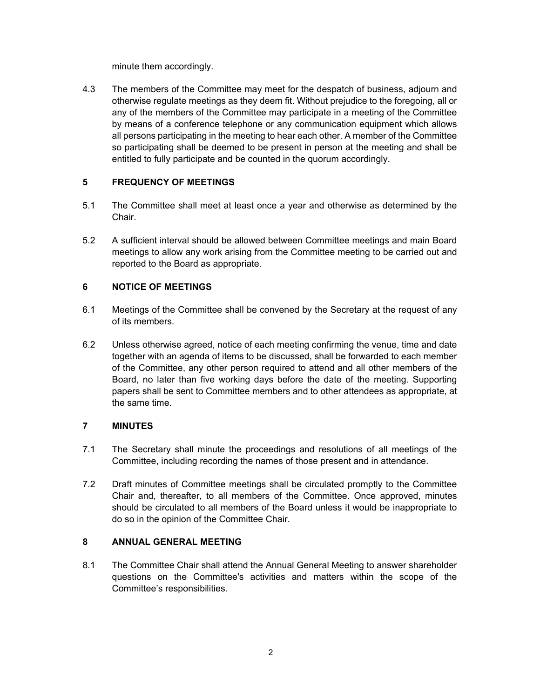minute them accordingly.

4.3 The members of the Committee may meet for the despatch of business, adjourn and otherwise regulate meetings as they deem fit. Without prejudice to the foregoing, all or any of the members of the Committee may participate in a meeting of the Committee by means of a conference telephone or any communication equipment which allows all persons participating in the meeting to hear each other. A member of the Committee so participating shall be deemed to be present in person at the meeting and shall be entitled to fully participate and be counted in the quorum accordingly.

# **5 FREQUENCY OF MEETINGS**

- 5.1 The Committee shall meet at least once a year and otherwise as determined by the Chair.
- 5.2 A sufficient interval should be allowed between Committee meetings and main Board meetings to allow any work arising from the Committee meeting to be carried out and reported to the Board as appropriate.

# **6 NOTICE OF MEETINGS**

- 6.1 Meetings of the Committee shall be convened by the Secretary at the request of any of its members.
- 6.2 Unless otherwise agreed, notice of each meeting confirming the venue, time and date together with an agenda of items to be discussed, shall be forwarded to each member of the Committee, any other person required to attend and all other members of the Board, no later than five working days before the date of the meeting. Supporting papers shall be sent to Committee members and to other attendees as appropriate, at the same time.

# **7 MINUTES**

- 7.1 The Secretary shall minute the proceedings and resolutions of all meetings of the Committee, including recording the names of those present and in attendance.
- 7.2 Draft minutes of Committee meetings shall be circulated promptly to the Committee Chair and, thereafter, to all members of the Committee. Once approved, minutes should be circulated to all members of the Board unless it would be inappropriate to do so in the opinion of the Committee Chair.

# **8 ANNUAL GENERAL MEETING**

8.1 The Committee Chair shall attend the Annual General Meeting to answer shareholder questions on the Committee's activities and matters within the scope of the Committee's responsibilities.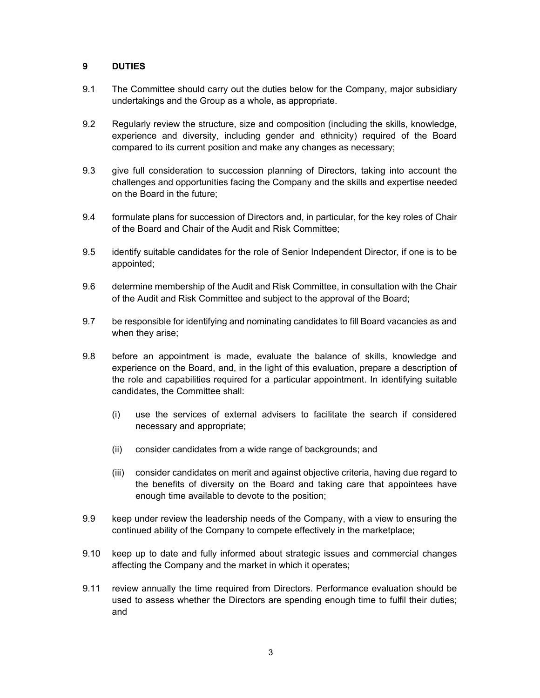# **9 DUTIES**

- 9.1 The Committee should carry out the duties below for the Company, major subsidiary undertakings and the Group as a whole, as appropriate.
- 9.2 Regularly review the structure, size and composition (including the skills, knowledge, experience and diversity, including gender and ethnicity) required of the Board compared to its current position and make any changes as necessary;
- 9.3 give full consideration to succession planning of Directors, taking into account the challenges and opportunities facing the Company and the skills and expertise needed on the Board in the future;
- 9.4 formulate plans for succession of Directors and, in particular, for the key roles of Chair of the Board and Chair of the Audit and Risk Committee;
- 9.5 identify suitable candidates for the role of Senior Independent Director, if one is to be appointed;
- 9.6 determine membership of the Audit and Risk Committee, in consultation with the Chair of the Audit and Risk Committee and subject to the approval of the Board;
- 9.7 be responsible for identifying and nominating candidates to fill Board vacancies as and when they arise;
- 9.8 before an appointment is made, evaluate the balance of skills, knowledge and experience on the Board, and, in the light of this evaluation, prepare a description of the role and capabilities required for a particular appointment. In identifying suitable candidates, the Committee shall:
	- (i) use the services of external advisers to facilitate the search if considered necessary and appropriate;
	- (ii) consider candidates from a wide range of backgrounds; and
	- (iii) consider candidates on merit and against objective criteria, having due regard to the benefits of diversity on the Board and taking care that appointees have enough time available to devote to the position;
- 9.9 keep under review the leadership needs of the Company, with a view to ensuring the continued ability of the Company to compete effectively in the marketplace;
- 9.10 keep up to date and fully informed about strategic issues and commercial changes affecting the Company and the market in which it operates;
- 9.11 review annually the time required from Directors. Performance evaluation should be used to assess whether the Directors are spending enough time to fulfil their duties; and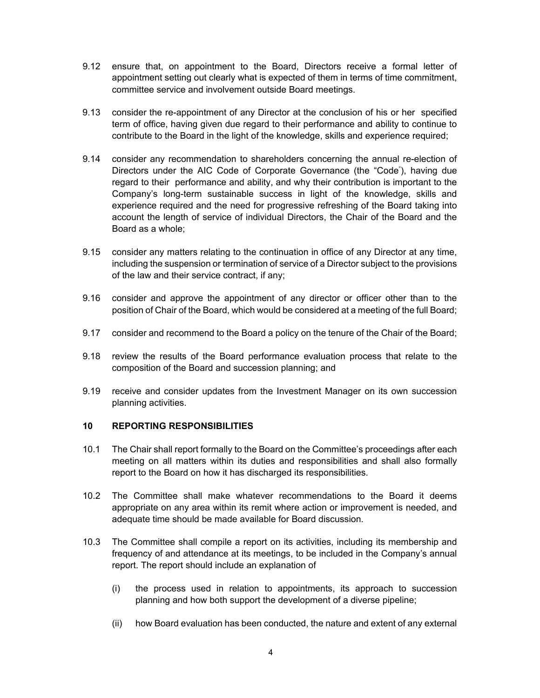- 9.12 ensure that, on appointment to the Board, Directors receive a formal letter of appointment setting out clearly what is expected of them in terms of time commitment, committee service and involvement outside Board meetings.
- 9.13 consider the re-appointment of any Director at the conclusion of his or her specified term of office, having given due regard to their performance and ability to continue to contribute to the Board in the light of the knowledge, skills and experience required;
- 9.14 consider any recommendation to shareholders concerning the annual re-election of Directors under the AIC Code of Corporate Governance (the "Code" ), having due regard to their performance and ability, and why their contribution is important to the Company's long-term sustainable success in light of the knowledge, skills and experience required and the need for progressive refreshing of the Board taking into account the length of service of individual Directors, the Chair of the Board and the Board as a whole;
- 9.15 consider any matters relating to the continuation in office of any Director at any time, including the suspension or termination of service of a Director subject to the provisions of the law and their service contract, if any;
- 9.16 consider and approve the appointment of any director or officer other than to the position of Chair of the Board, which would be considered at a meeting of the full Board;
- 9.17 consider and recommend to the Board a policy on the tenure of the Chair of the Board;
- 9.18 review the results of the Board performance evaluation process that relate to the composition of the Board and succession planning; and
- 9.19 receive and consider updates from the Investment Manager on its own succession planning activities.

# **10 REPORTING RESPONSIBILITIES**

- 10.1 The Chair shall report formally to the Board on the Committee's proceedings after each meeting on all matters within its duties and responsibilities and shall also formally report to the Board on how it has discharged its responsibilities.
- 10.2 The Committee shall make whatever recommendations to the Board it deems appropriate on any area within its remit where action or improvement is needed, and adequate time should be made available for Board discussion.
- 10.3 The Committee shall compile a report on its activities, including its membership and frequency of and attendance at its meetings, to be included in the Company's annual report. The report should include an explanation of
	- (i) the process used in relation to appointments, its approach to succession planning and how both support the development of a diverse pipeline;
	- (ii) how Board evaluation has been conducted, the nature and extent of any external